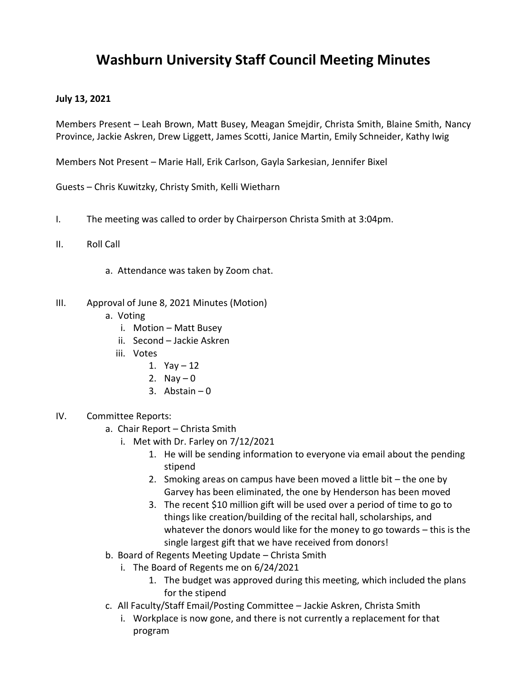## **Washburn University Staff Council Meeting Minutes**

## **July 13, 2021**

Members Present – Leah Brown, Matt Busey, Meagan Smejdir, Christa Smith, Blaine Smith, Nancy Province, Jackie Askren, Drew Liggett, James Scotti, Janice Martin, Emily Schneider, Kathy Iwig

Members Not Present – Marie Hall, Erik Carlson, Gayla Sarkesian, Jennifer Bixel

Guests – Chris Kuwitzky, Christy Smith, Kelli Wietharn

- I. The meeting was called to order by Chairperson Christa Smith at 3:04pm.
- II. Roll Call
	- a. Attendance was taken by Zoom chat.
- III. Approval of June 8, 2021 Minutes (Motion)
	- a. Voting
		- i. Motion Matt Busey
		- ii. Second Jackie Askren
		- iii. Votes
			- 1.  $Yay 12$
			- 2. Nay  $-0$
			- 3. Abstain  $-0$
- IV. Committee Reports:
	- a. Chair Report Christa Smith
		- i. Met with Dr. Farley on 7/12/2021
			- 1. He will be sending information to everyone via email about the pending stipend
			- 2. Smoking areas on campus have been moved a little bit the one by Garvey has been eliminated, the one by Henderson has been moved
			- 3. The recent \$10 million gift will be used over a period of time to go to things like creation/building of the recital hall, scholarships, and whatever the donors would like for the money to go towards – this is the single largest gift that we have received from donors!
	- b. Board of Regents Meeting Update Christa Smith
		- i. The Board of Regents me on 6/24/2021
			- 1. The budget was approved during this meeting, which included the plans for the stipend
	- c. All Faculty/Staff Email/Posting Committee Jackie Askren, Christa Smith
		- i. Workplace is now gone, and there is not currently a replacement for that program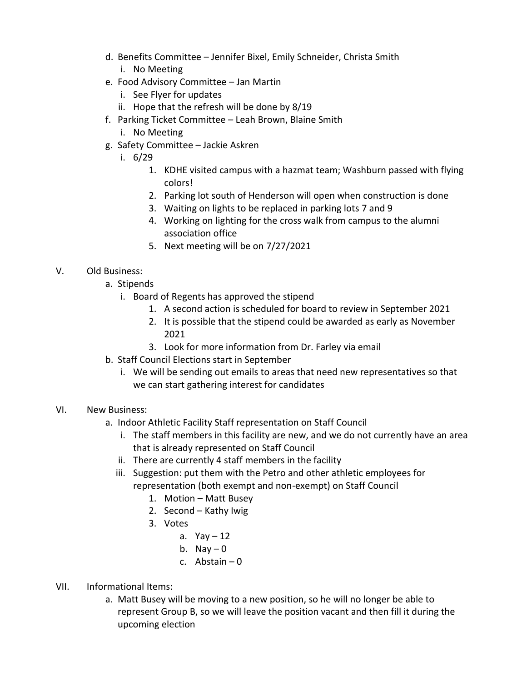- d. Benefits Committee Jennifer Bixel, Emily Schneider, Christa Smith i. No Meeting
- e. Food Advisory Committee Jan Martin
	- i. See Flyer for updates
	- ii. Hope that the refresh will be done by 8/19
- f. Parking Ticket Committee Leah Brown, Blaine Smith
	- i. No Meeting
- g. Safety Committee Jackie Askren
	- i. 6/29
		- 1. KDHE visited campus with a hazmat team; Washburn passed with flying colors!
		- 2. Parking lot south of Henderson will open when construction is done
		- 3. Waiting on lights to be replaced in parking lots 7 and 9
		- 4. Working on lighting for the cross walk from campus to the alumni association office
		- 5. Next meeting will be on 7/27/2021

## V. Old Business:

- a. Stipends
	- i. Board of Regents has approved the stipend
		- 1. A second action is scheduled for board to review in September 2021
		- 2. It is possible that the stipend could be awarded as early as November 2021
		- 3. Look for more information from Dr. Farley via email
- b. Staff Council Elections start in September
	- i. We will be sending out emails to areas that need new representatives so that we can start gathering interest for candidates

## VI. New Business:

- a. Indoor Athletic Facility Staff representation on Staff Council
	- i. The staff members in this facility are new, and we do not currently have an area that is already represented on Staff Council
	- ii. There are currently 4 staff members in the facility
	- iii. Suggestion: put them with the Petro and other athletic employees for representation (both exempt and non-exempt) on Staff Council
		- 1. Motion Matt Busey
		- 2. Second Kathy Iwig
		- 3. Votes
			- a. Yav  $-12$
			- b. Nay  $-0$
			- c. Abstain 0
- VII. Informational Items:
	- a. Matt Busey will be moving to a new position, so he will no longer be able to represent Group B, so we will leave the position vacant and then fill it during the upcoming election